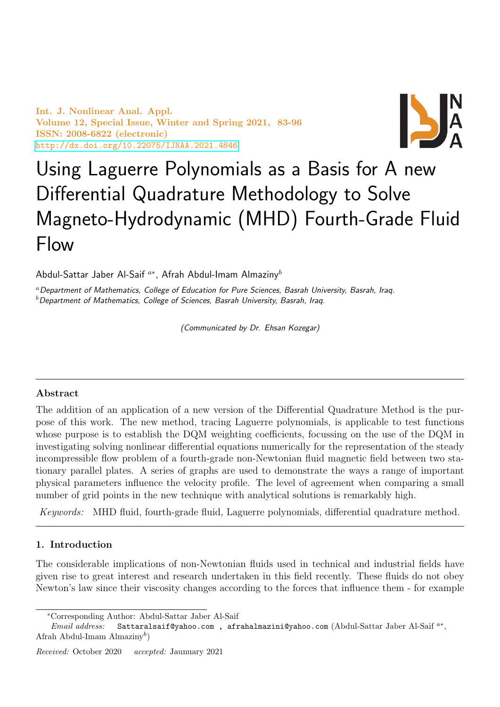Int. J. Nonlinear Anal. Appl. Volume 12, Special Issue, Winter and Spring 2021, 83-96 ISSN: 2008-6822 (electronic) <http://dx.doi.org/10.22075/IJNAA.2021.4846>



# Using Laguerre Polynomials as a Basis for A new Differential Quadrature Methodology to Solve Magneto-Hydrodynamic (MHD) Fourth-Grade Fluid Flow

Abdul-Sattar Jaber Al-Saif  $^{a*}$ , Afrah Abdul-Imam Almaziny $^b$ 

<sup>a</sup> Department of Mathematics, College of Education for Pure Sciences, Basrah University, Basrah, Iraq.  $<sup>b</sup>$  Department of Mathematics, College of Sciences, Basrah University, Basrah, Iraq.</sup>

(Communicated by Dr. Ehsan Kozegar)

# Abstract

The addition of an application of a new version of the Differential Quadrature Method is the purpose of this work. The new method, tracing Laguerre polynomials, is applicable to test functions whose purpose is to establish the DQM weighting coefficients, focussing on the use of the DQM in investigating solving nonlinear differential equations numerically for the representation of the steady incompressible flow problem of a fourth-grade non-Newtonian fluid magnetic field between two stationary parallel plates. A series of graphs are used to demonstrate the ways a range of important physical parameters influence the velocity profile. The level of agreement when comparing a small number of grid points in the new technique with analytical solutions is remarkably high.

Keywords: MHD fluid, fourth-grade fluid, Laguerre polynomials, differential quadrature method.

# 1. Introduction

The considerable implications of non-Newtonian fluids used in technical and industrial fields have given rise to great interest and research undertaken in this field recently. These fluids do not obey Newton's law since their viscosity changes according to the forces that influence them - for example

<sup>∗</sup>Corresponding Author: Abdul-Sattar Jaber Al-Saif

Email address: Sattaralsaif@yahoo.com, afrahalmazini@yahoo.com (Abdul-Sattar Jaber Al-Saif<sup>a\*</sup>, Afrah Abdul-Imam Almaziny<sup>b</sup>)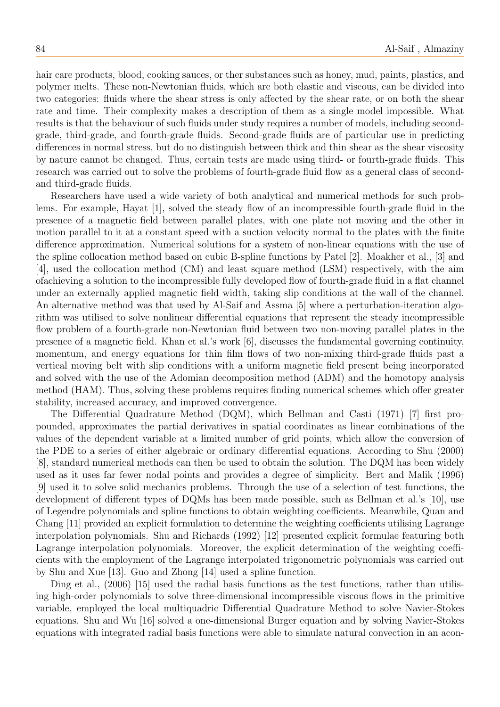hair care products, blood, cooking sauces, or ther substances such as honey, mud, paints, plastics, and polymer melts. These non-Newtonian fluids, which are both elastic and viscous, can be divided into two categories: fluids where the shear stress is only affected by the shear rate, or on both the shear rate and time. Their complexity makes a description of them as a single model impossible. What results is that the behaviour of such fluids under study requires a number of models, including secondgrade, third-grade, and fourth-grade fluids. Second-grade fluids are of particular use in predicting differences in normal stress, but do no distinguish between thick and thin shear as the shear viscosity by nature cannot be changed. Thus, certain tests are made using third- or fourth-grade fluids. This research was carried out to solve the problems of fourth-grade fluid flow as a general class of secondand third-grade fluids.

Researchers have used a wide variety of both analytical and numerical methods for such problems. For example, Hayat [1], solved the steady flow of an incompressible fourth-grade fluid in the presence of a magnetic field between parallel plates, with one plate not moving and the other in motion parallel to it at a constant speed with a suction velocity normal to the plates with the finite difference approximation. Numerical solutions for a system of non-linear equations with the use of the spline collocation method based on cubic B-spline functions by Patel [2]. Moakher et al., [3] and [4], used the collocation method (CM) and least square method (LSM) respectively, with the aim ofachieving a solution to the incompressible fully developed flow of fourth-grade fluid in a flat channel under an externally applied magnetic field width, taking slip conditions at the wall of the channel. An alternative method was that used by Al-Saif and Assma [5] where a perturbation-iteration algorithm was utilised to solve nonlinear differential equations that represent the steady incompressible flow problem of a fourth-grade non-Newtonian fluid between two non-moving parallel plates in the presence of a magnetic field. Khan et al.'s work [6], discusses the fundamental governing continuity, momentum, and energy equations for thin film flows of two non-mixing third-grade fluids past a vertical moving belt with slip conditions with a uniform magnetic field present being incorporated and solved with the use of the Adomian decomposition method (ADM) and the homotopy analysis method (HAM). Thus, solving these problems requires finding numerical schemes which offer greater stability, increased accuracy, and improved convergence.

The Differential Quadrature Method (DQM), which Bellman and Casti (1971) [7] first propounded, approximates the partial derivatives in spatial coordinates as linear combinations of the values of the dependent variable at a limited number of grid points, which allow the conversion of the PDE to a series of either algebraic or ordinary differential equations. According to Shu (2000) [8], standard numerical methods can then be used to obtain the solution. The DQM has been widely used as it uses far fewer nodal points and provides a degree of simplicity. Bert and Malik (1996) [9] used it to solve solid mechanics problems. Through the use of a selection of test functions, the development of different types of DQMs has been made possible, such as Bellman et al.'s [10], use of Legendre polynomials and spline functions to obtain weighting coefficients. Meanwhile, Quan and Chang [11] provided an explicit formulation to determine the weighting coefficients utilising Lagrange interpolation polynomials. Shu and Richards (1992) [12] presented explicit formulae featuring both Lagrange interpolation polynomials. Moreover, the explicit determination of the weighting coefficients with the employment of the Lagrange interpolated trigonometric polynomials was carried out by Shu and Xue [13]. Guo and Zhong [14] used a spline function.

Ding et al., (2006) [15] used the radial basis functions as the test functions, rather than utilising high-order polynomials to solve three-dimensional incompressible viscous flows in the primitive variable, employed the local multiquadric Differential Quadrature Method to solve Navier-Stokes equations. Shu and Wu [16] solved a one-dimensional Burger equation and by solving Navier-Stokes equations with integrated radial basis functions were able to simulate natural convection in an acon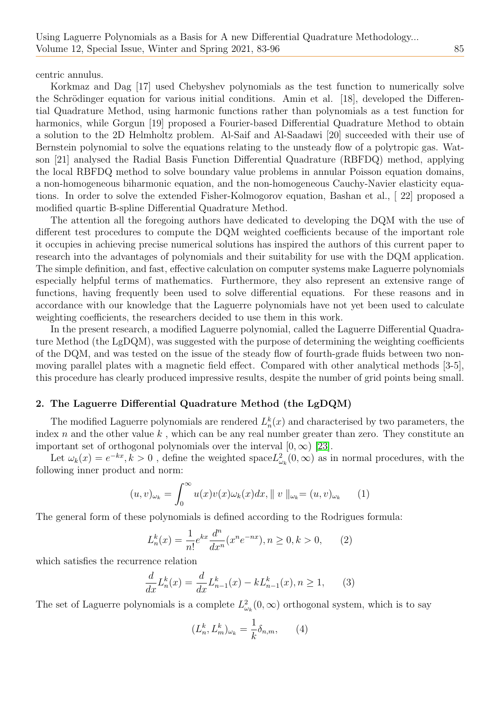centric annulus.

Korkmaz and Dag [17] used Chebyshev polynomials as the test function to numerically solve the Schrödinger equation for various initial conditions. Amin et al. [18], developed the Differential Quadrature Method, using harmonic functions rather than polynomials as a test function for harmonics, while Gorgun [19] proposed a Fourier-based Differential Quadrature Method to obtain a solution to the 2D Helmholtz problem. Al-Saif and Al-Saadawi [20] succeeded with their use of Bernstein polynomial to solve the equations relating to the unsteady flow of a polytropic gas. Watson [21] analysed the Radial Basis Function Differential Quadrature (RBFDQ) method, applying the local RBFDQ method to solve boundary value problems in annular Poisson equation domains, a non-homogeneous biharmonic equation, and the non-homogeneous Cauchy-Navier elasticity equations. In order to solve the extended Fisher-Kolmogorov equation, Bashan et al., [ 22] proposed a modified quartic B-spline Differential Quadrature Method.

The attention all the foregoing authors have dedicated to developing the DQM with the use of different test procedures to compute the DQM weighted coefficients because of the important role it occupies in achieving precise numerical solutions has inspired the authors of this current paper to research into the advantages of polynomials and their suitability for use with the DQM application. The simple definition, and fast, effective calculation on computer systems make Laguerre polynomials especially helpful terms of mathematics. Furthermore, they also represent an extensive range of functions, having frequently been used to solve differential equations. For these reasons and in accordance with our knowledge that the Laguerre polynomials have not yet been used to calculate weighting coefficients, the researchers decided to use them in this work.

In the present research, a modified Laguerre polynomial, called the Laguerre Differential Quadrature Method (the LgDQM), was suggested with the purpose of determining the weighting coefficients of the DQM, and was tested on the issue of the steady flow of fourth-grade fluids between two nonmoving parallel plates with a magnetic field effect. Compared with other analytical methods [3-5], this procedure has clearly produced impressive results, despite the number of grid points being small.

## 2. The Laguerre Differential Quadrature Method (the LgDQM)

The modified Laguerre polynomials are rendered  $L_n^k(x)$  and characterised by two parameters, the index n and the other value  $k$ , which can be any real number greater than zero. They constitute an important set of orthogonal polynomials over the interval  $[0, \infty)$  [\[23\]](#page-13-0).

Let  $\omega_k(x) = e^{-kx}, k > 0$ , define the weighted space  $L^2_{\omega_k}(0, \infty)$  as in normal procedures, with the following inner product and norm:

$$
(u,v)_{\omega_k} = \int_0^\infty u(x)v(x)\omega_k(x)dx, \parallel v \parallel_{\omega_k} = (u,v)_{\omega_k} \qquad (1)
$$

The general form of these polynomials is defined according to the Rodrigues formula:

$$
L_n^k(x) = \frac{1}{n!} e^{kx} \frac{d^n}{dx^n} (x^n e^{-nx}), n \ge 0, k > 0,
$$
 (2)

which satisfies the recurrence relation

$$
\frac{d}{dx}L_n^k(x) = \frac{d}{dx}L_{n-1}^k(x) - kL_{n-1}^k(x), n \ge 1,
$$
 (3)

The set of Laguerre polynomials is a complete  $L^2_{\omega_k}(0,\infty)$  orthogonal system, which is to say

$$
(L_n^k, L_m^k)_{\omega_k} = \frac{1}{k} \delta_{n,m}, \qquad (4)
$$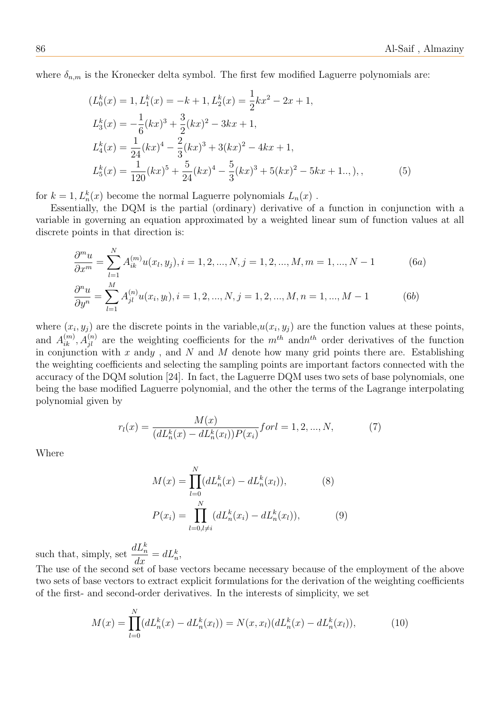where  $\delta_{n,m}$  is the Kronecker delta symbol. The first few modified Laguerre polynomials are:

$$
(L_0^k(x) = 1, L_1^k(x) = -k + 1, L_2^k(x) = \frac{1}{2}kx^2 - 2x + 1,
$$
  
\n
$$
L_3^k(x) = -\frac{1}{6}(kx)^3 + \frac{3}{2}(kx)^2 - 3kx + 1,
$$
  
\n
$$
L_4^k(x) = \frac{1}{24}(kx)^4 - \frac{2}{3}(kx)^3 + 3(kx)^2 - 4kx + 1,
$$
  
\n
$$
L_5^k(x) = \frac{1}{120}(kx)^5 + \frac{5}{24}(kx)^4 - \frac{5}{3}(kx)^3 + 5(kx)^2 - 5kx + 1...,
$$
 (5)

for  $k = 1, L_n^k(x)$  become the normal Laguerre polynomials  $L_n(x)$ .

Essentially, the DQM is the partial (ordinary) derivative of a function in conjunction with a variable in governing an equation approximated by a weighted linear sum of function values at all discrete points in that direction is:

$$
\frac{\partial^m u}{\partial x^m} = \sum_{l=1}^N A_{ik}^{(m)} u(x_l, y_j), i = 1, 2, ..., N, j = 1, 2, ..., M, m = 1, ..., N - 1
$$
(6a)  

$$
\frac{\partial^n u}{\partial y^n} = \sum_{l=1}^M A_{jl}^{(n)} u(x_i, y_l), i = 1, 2, ..., N, j = 1, 2, ..., M, n = 1, ..., M - 1
$$
(6b)

where  $(x_i, y_j)$  are the discrete points in the variable,  $u(x_i, y_j)$  are the function values at these points, and  $A_{ik}^{(m)}$ ,  $A_{jl}^{(n)}$  are the weighting coefficients for the  $m^{th}$  and $n^{th}$  order derivatives of the function in conjunction with x andy, and N and M denote how many grid points there are. Establishing the weighting coefficients and selecting the sampling points are important factors connected with the accuracy of the DQM solution [24]. In fact, the Laguerre DQM uses two sets of base polynomials, one being the base modified Laguerre polynomial, and the other the terms of the Lagrange interpolating polynomial given by

$$
r_l(x) = \frac{M(x)}{(dL_n^k(x) - dL_n^k(x_l))P(x_i)} \text{for } l = 1, 2, ..., N,
$$
 (7)

Where

$$
M(x) = \prod_{l=0}^{N} (dL_n^k(x) - dL_n^k(x_l)),
$$
\n
$$
P(x_i) = \prod_{l=0, l \neq i}^{N} (dL_n^k(x_i) - dL_n^k(x_l)),
$$
\n(9)

such that, simply, set  $\frac{dL_n^k}{dx} = dL_n^k$ ,

The use of the second set of base vectors became necessary because of the employment of the above two sets of base vectors to extract explicit formulations for the derivation of the weighting coefficients of the first- and second-order derivatives. In the interests of simplicity, we set

$$
M(x) = \prod_{l=0}^{N} (dL_n^k(x) - dL_n^k(x_l)) = N(x, x_l)(dL_n^k(x) - dL_n^k(x_l)),
$$
\n(10)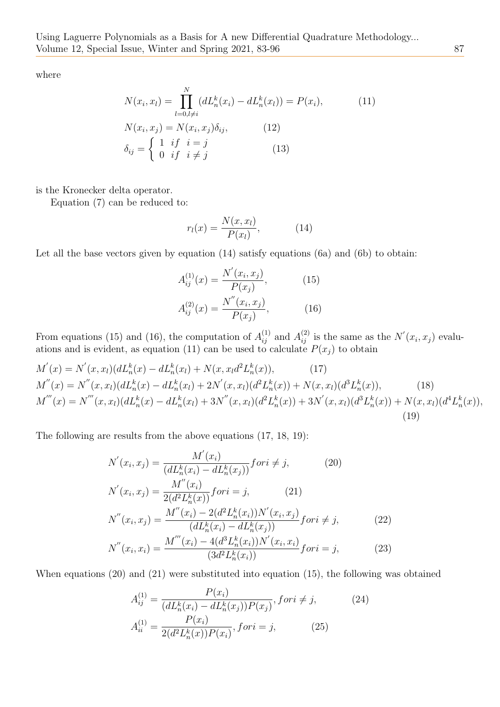where

$$
N(x_i, x_l) = \prod_{l=0, l \neq i}^{N} (dL_n^k(x_i) - dL_n^k(x_l)) = P(x_i),
$$
\n
$$
N(x_i, x_j) = N(x_i, x_j) \delta_{ij},
$$
\n
$$
\delta_{ij} = \begin{cases} 1 & \text{if } i = j \\ 0 & \text{if } i \neq j \end{cases}
$$
\n
$$
(13)
$$

is the Kronecker delta operator.

Equation (7) can be reduced to:

$$
r_l(x) = \frac{N(x, x_l)}{P(x_l)},\tag{14}
$$

Let all the base vectors given by equation  $(14)$  satisfy equations  $(6a)$  and  $(6b)$  to obtain:

$$
A_{ij}^{(1)}(x) = \frac{N'(x_i, x_j)}{P(x_j)},
$$
(15)  

$$
A_{ij}^{(2)}(x) = \frac{N''(x_i, x_j)}{P(x_j)},
$$
(16)

From equations (15) and (16), the computation of  $A_{ij}^{(1)}$  and  $A_{ij}^{(2)}$  is the same as the  $N'(x_i, x_j)$  evaluations and is evident, as equation (11) can be used to calculate  $P(x_j)$  to obtain

$$
M'(x) = N'(x, x_l)(dL_n^k(x) - dL_n^k(x_l) + N(x, x_l d^2 L_n^k(x)),
$$
\n(17)  
\n
$$
M''(x) = N''(x, x_l)(dL_n^k(x) - dL_n^k(x_l) + 2N'(x, x_l)(d^2 L_n^k(x)) + N(x, x_l)(d^3 L_n^k(x)),
$$
\n(18)  
\n
$$
M'''(x) = N'''(x, x_l)(dL_n^k(x) - dL_n^k(x_l) + 3N''(x, x_l)(d^2 L_n^k(x)) + 3N'(x, x_l)(d^3 L_n^k(x)) + N(x, x_l)(d^4 L_n^k(x)),
$$
\n(19)

The following are results from the above equations (17, 18, 19):

$$
N'(x_i, x_j) = \frac{M'(x_i)}{(dL_n^k(x_i) - dL_n^k(x_j))} for i \neq j,
$$
\n
$$
N'(x_i, x_j) = \frac{M''(x_i)}{2(d^2L_n^k(x))} for i = j,
$$
\n
$$
N''(x_i, x_j) = \frac{M''(x_i) - 2(d^2L_n^k(x_i))N'(x_i, x_j)}{(dL_n^k(x_i) - dL_n^k(x_j))} for i \neq j,
$$
\n
$$
N''(x_i, x_i) = \frac{M'''(x_i) - 4(d^3L_n^k(x_i))N'(x_i, x_i)}{(3d^2L_n^k(x_i))} for i = j,
$$
\n(23)

When equations (20) and (21) were substituted into equation (15), the following was obtained

$$
A_{ij}^{(1)} = \frac{P(x_i)}{(dL_n^k(x_i) - dL_n^k(x_j))P(x_j)}, \text{for } i \neq j,
$$
\n
$$
A_{ii}^{(1)} = \frac{P(x_i)}{2(d^2L_n^k(x))P(x_i)}, \text{for } i = j,
$$
\n(25)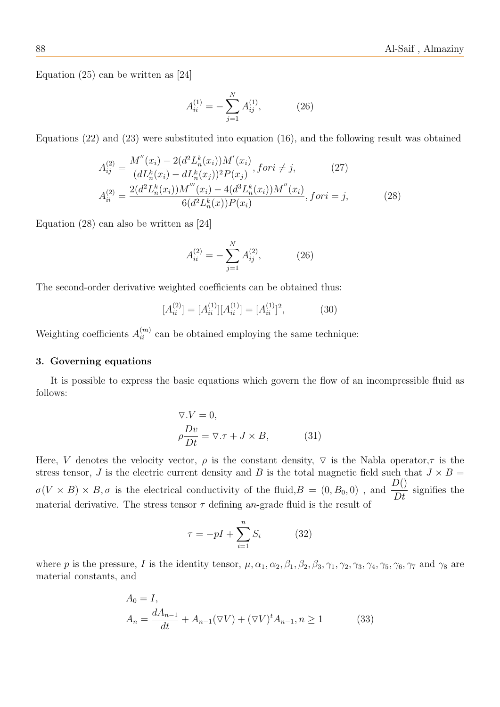Equation (25) can be written as [24]

$$
A_{ii}^{(1)} = -\sum_{j=1}^{N} A_{ij}^{(1)}, \tag{26}
$$

Equations (22) and (23) were substituted into equation (16), and the following result was obtained

$$
A_{ij}^{(2)} = \frac{M''(x_i) - 2(d^2 L_n^k(x_i))M'(x_i)}{(dL_n^k(x_i) - dL_n^k(x_j))^2 P(x_j)}, \text{ for } i \neq j,
$$
\n
$$
A_{ii}^{(2)} = \frac{2(d^2 L_n^k(x_i))M''(x_i) - 4(d^3 L_n^k(x_i))M''(x_i)}{6(d^2 L_n^k(x))P(x_i)}, \text{ for } i = j,
$$
\n(28)

Equation (28) can also be written as [24]

$$
A_{ii}^{(2)} = -\sum_{j=1}^{N} A_{ij}^{(2)}, \tag{26}
$$

The second-order derivative weighted coefficients can be obtained thus:

$$
[A_{ii}^{(2)}] = [A_{ii}^{(1)}][A_{ii}^{(1)}] = [A_{ii}^{(1)}]^2,
$$
\n(30)

Weighting coefficients  $A_{ii}^{(m)}$  can be obtained employing the same technique:

#### 3. Governing equations

It is possible to express the basic equations which govern the flow of an incompressible fluid as follows:

$$
\nabla.V = 0,\n\frac{Dv}{Dt} = \nabla.\tau + J \times B,
$$
\n(31)

Here, V denotes the velocity vector,  $\rho$  is the constant density,  $\nabla$  is the Nabla operator,  $\tau$  is the stress tensor, J is the electric current density and B is the total magnetic field such that  $J \times B =$  $\sigma(V \times B) \times B, \sigma$  is the electrical conductivity of the fluid,  $B = (0, B_0, 0)$ , and  $\frac{D($ signifies the material derivative. The stress tensor  $\tau$  defining an-grade fluid is the result of

$$
\tau = -pI + \sum_{i=1}^{n} S_i \tag{32}
$$

where p is the pressure, I is the identity tensor,  $\mu$ ,  $\alpha_1$ ,  $\alpha_2$ ,  $\beta_1$ ,  $\beta_2$ ,  $\beta_3$ ,  $\gamma_1$ ,  $\gamma_2$ ,  $\gamma_3$ ,  $\gamma_4$ ,  $\gamma_5$ ,  $\gamma_6$ ,  $\gamma_7$  and  $\gamma_8$  are material constants, and

$$
A_0 = I,
$$
  
\n
$$
A_n = \frac{dA_{n-1}}{dt} + A_{n-1}(\nabla V) + (\nabla V)^t A_{n-1}, n \ge 1
$$
\n(33)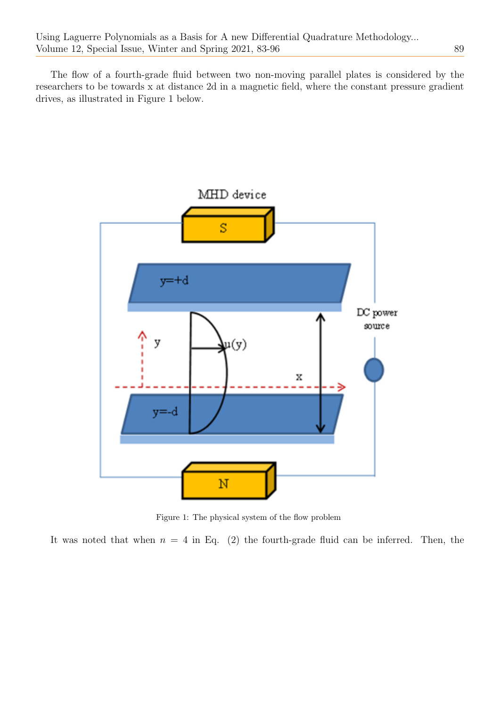The flow of a fourth-grade fluid between two non-moving parallel plates is considered by the researchers to be towards x at distance 2d in a magnetic field, where the constant pressure gradient drives, as illustrated in Figure 1 below.



Figure 1: The physical system of the flow problem

It was noted that when  $n = 4$  in Eq. (2) the fourth-grade fluid can be inferred. Then, the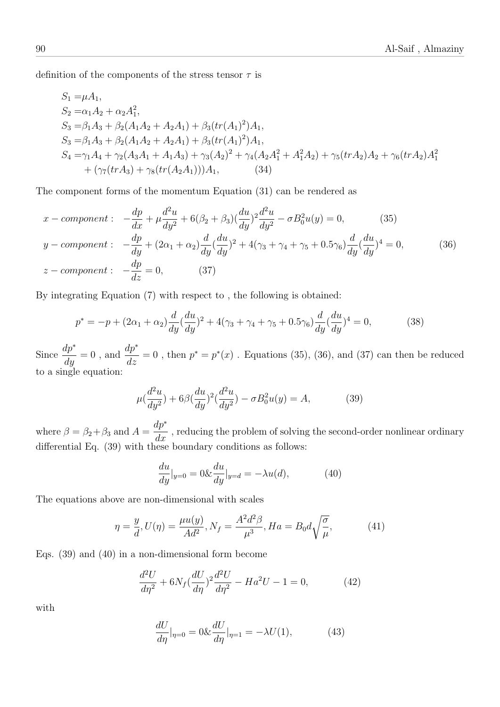definition of the components of the stress tensor  $\tau$  is

$$
S_1 = \mu A_1,
$$
  
\n
$$
S_2 = \alpha_1 A_2 + \alpha_2 A_1^2,
$$
  
\n
$$
S_3 = \beta_1 A_3 + \beta_2 (A_1 A_2 + A_2 A_1) + \beta_3 (tr(A_1)^2) A_1,
$$
  
\n
$$
S_3 = \beta_1 A_3 + \beta_2 (A_1 A_2 + A_2 A_1) + \beta_3 (tr(A_1)^2) A_1,
$$
  
\n
$$
S_4 = \gamma_1 A_4 + \gamma_2 (A_3 A_1 + A_1 A_3) + \gamma_3 (A_2)^2 + \gamma_4 (A_2 A_1^2 + A_1^2 A_2) + \gamma_5 (tr A_2) A_2 + \gamma_6 (tr A_2) A_1^2
$$
  
\n
$$
+ (\gamma_7 (tr A_3) + \gamma_8 (tr(A_2 A_1))) A_1,
$$
\n(34)

The component forms of the momentum Equation (31) can be rendered as

$$
x - component: \quad -\frac{dp}{dx} + \mu \frac{d^2u}{dy^2} + 6(\beta_2 + \beta_3) (\frac{du}{dy})^2 \frac{d^2u}{dy^2} - \sigma B_0^2 u(y) = 0, \tag{35}
$$
\n
$$
y - component: \quad -\frac{dp}{dy} + (2\alpha_1 + \alpha_2) \frac{d}{dy} (\frac{du}{dy})^2 + 4(\gamma_3 + \gamma_4 + \gamma_5 + 0.5\gamma_6) \frac{d}{dy} (\frac{du}{dy})^4 = 0, \tag{36}
$$
\n
$$
z - component: \quad -\frac{dp}{dz} = 0, \tag{37}
$$

By integrating Equation (7) with respect to , the following is obtained:

$$
p^* = -p + (2\alpha_1 + \alpha_2) \frac{d}{dy} (\frac{du}{dy})^2 + 4(\gamma_3 + \gamma_4 + \gamma_5 + 0.5\gamma_6) \frac{d}{dy} (\frac{du}{dy})^4 = 0,
$$
 (38)

Since  $\frac{dp^*}{dy} = 0$ , and  $\frac{dp^*}{dz} = 0$ , then  $p^* = p^*(x)$ . Equations (35), (36), and (37) can then be reduced to a single equation:

$$
\mu(\frac{d^2u}{dy^2}) + 6\beta(\frac{du}{dy})^2(\frac{d^2u}{dy^2}) - \sigma B_0^2 u(y) = A,\tag{39}
$$

where  $\beta = \beta_2 + \beta_3$  and  $A =$ dp<sup>∗</sup>  $\frac{dP}{dx}$ , reducing the problem of solving the second-order nonlinear ordinary differential Eq. (39) with these boundary conditions as follows:

$$
\frac{du}{dy}|_{y=0} = 0 \& \frac{du}{dy}|_{y=d} = -\lambda u(d),
$$
\n(40)

The equations above are non-dimensional with scales

$$
\eta = \frac{y}{d}, U(\eta) = \frac{\mu u(y)}{Ad^2}, N_f = \frac{A^2 d^2 \beta}{\mu^3}, Ha = B_0 d \sqrt{\frac{\sigma}{\mu}}, \tag{41}
$$

Eqs. (39) and (40) in a non-dimensional form become

$$
\frac{d^2U}{d\eta^2} + 6N_f \left(\frac{dU}{d\eta}\right)^2 \frac{d^2U}{d\eta^2} - Ha^2U - 1 = 0,\tag{42}
$$

with

$$
\frac{dU}{d\eta}|_{\eta=0} = 0 \& \frac{dU}{d\eta}|_{\eta=1} = -\lambda U(1),\tag{43}
$$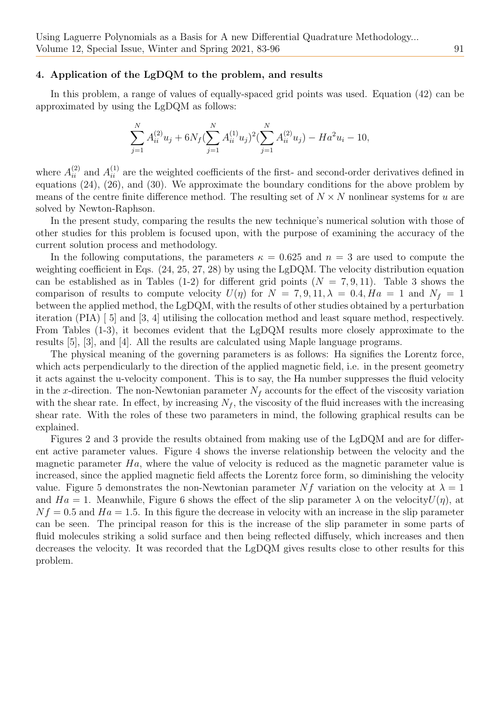#### 4. Application of the LgDQM to the problem, and results

In this problem, a range of values of equally-spaced grid points was used. Equation (42) can be approximated by using the LgDQM as follows:

$$
\sum_{j=1}^{N} A_{ii}^{(2)} u_j + 6N_f (\sum_{j=1}^{N} A_{ii}^{(1)} u_j)^2 (\sum_{j=1}^{N} A_{ii}^{(2)} u_j) - H a^2 u_i - 10,
$$

where  $A_{ii}^{(2)}$  and  $A_{ii}^{(1)}$  are the weighted coefficients of the first- and second-order derivatives defined in equations (24), (26), and (30). We approximate the boundary conditions for the above problem by means of the centre finite difference method. The resulting set of  $N \times N$  nonlinear systems for u are solved by Newton-Raphson.

In the present study, comparing the results the new technique's numerical solution with those of other studies for this problem is focused upon, with the purpose of examining the accuracy of the current solution process and methodology.

In the following computations, the parameters  $\kappa = 0.625$  and  $n = 3$  are used to compute the weighting coefficient in Eqs. (24, 25, 27, 28) by using the LgDQM. The velocity distribution equation can be established as in Tables (1-2) for different grid points  $(N = 7, 9, 11)$ . Table 3 shows the comparison of results to compute velocity  $U(\eta)$  for  $N = 7, 9, 11, \lambda = 0.4, Ha = 1$  and  $N_f = 1$ between the applied method, the LgDQM, with the results of other studies obtained by a perturbation iteration (PIA) [ 5] and [3, 4] utilising the collocation method and least square method, respectively. From Tables (1-3), it becomes evident that the LgDQM results more closely approximate to the results [5], [3], and [4]. All the results are calculated using Maple language programs.

The physical meaning of the governing parameters is as follows: Ha signifies the Lorentz force, which acts perpendicularly to the direction of the applied magnetic field, i.e. in the present geometry it acts against the u-velocity component. This is to say, the Ha number suppresses the fluid velocity in the x-direction. The non-Newtonian parameter  $N_f$  accounts for the effect of the viscosity variation with the shear rate. In effect, by increasing  $N_f$ , the viscosity of the fluid increases with the increasing shear rate. With the roles of these two parameters in mind, the following graphical results can be explained.

Figures 2 and 3 provide the results obtained from making use of the LgDQM and are for different active parameter values. Figure 4 shows the inverse relationship between the velocity and the magnetic parameter  $Ha$ , where the value of velocity is reduced as the magnetic parameter value is increased, since the applied magnetic field affects the Lorentz force form, so diminishing the velocity value. Figure 5 demonstrates the non-Newtonian parameter Nf variation on the velocity at  $\lambda = 1$ and  $Ha = 1$ . Meanwhile, Figure 6 shows the effect of the slip parameter  $\lambda$  on the velocity  $U(\eta)$ , at  $Nf = 0.5$  and  $Ha = 1.5$ . In this figure the decrease in velocity with an increase in the slip parameter can be seen. The principal reason for this is the increase of the slip parameter in some parts of fluid molecules striking a solid surface and then being reflected diffusely, which increases and then decreases the velocity. It was recorded that the LgDQM gives results close to other results for this problem.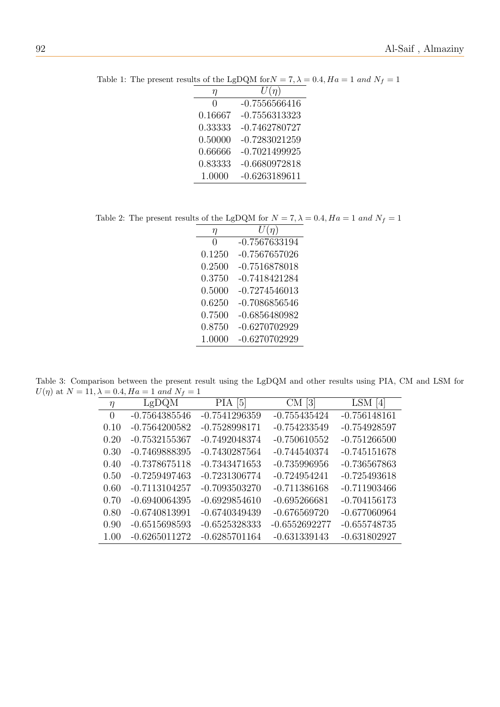| η            | $U(\eta)$       |
|--------------|-----------------|
| $\mathbf{0}$ | $-0.7556566416$ |
| 0.16667      | $-0.7556313323$ |
| 0.33333      | $-0.7462780727$ |
| 0.50000      | $-0.7283021259$ |
| 0.66666      | $-0.7021499925$ |
| 0.83333      | $-0.6680972818$ |
| 1.0000       | $-0.6263189611$ |
|              |                 |

Table 1: The present results of the LgDQM for  $N = 7, \lambda = 0.4, Ha = 1$  and  $N_f = 1$ 

Table 2: The present results of the LgDQM for  $N=7, \lambda=0.4, Ha=1$  and  $N_f=1$ 

| η            | $U(\eta)$       |
|--------------|-----------------|
| $\mathbf{0}$ | $-0.7567633194$ |
| 0.1250       | $-0.7567657026$ |
| 0.2500       | $-0.7516878018$ |
| 0.3750       | $-0.7418421284$ |
| 0.5000       | $-0.7274546013$ |
| 0.6250       | $-0.7086856546$ |
| 0.7500       | $-0.6856480982$ |
| 0.8750       | $-0.6270702929$ |
| 1.0000       | $-0.6270702929$ |

Table 3: Comparison between the present result using the LgDQM and other results using PIA, CM and LSM for  $U(\eta)$  at  $N = 11, \lambda = 0.4, Ha = 1$  and  $N_f = 1$ 

| $\eta$   | LgDQM           | $PIA$ [5]       | $CM$ [3]        | LSM[4]         |
|----------|-----------------|-----------------|-----------------|----------------|
| $\Omega$ | $-0.7564385546$ | $-0.7541296359$ | $-0.755435424$  | $-0.756148161$ |
| 0.10     | $-0.7564200582$ | $-0.7528998171$ | $-0.754233549$  | $-0.754928597$ |
| 0.20     | $-0.7532155367$ | $-0.7492048374$ | $-0.750610552$  | $-0.751266500$ |
| 0.30     | $-0.7469888395$ | $-0.7430287564$ | $-0.744540374$  | $-0.745151678$ |
| 0.40     | $-0.7378675118$ | $-0.7343471653$ | $-0.735996956$  | $-0.736567863$ |
| 0.50     | $-0.7259497463$ | $-0.7231306774$ | $-0.724954241$  | $-0.725493618$ |
| 0.60     | $-0.7113104257$ | $-0.7093503270$ | $-0.711386168$  | $-0.711903466$ |
| 0.70     | $-0.6940064395$ | $-0.6929854610$ | $-0.695266681$  | $-0.704156173$ |
| 0.80     | $-0.6740813991$ | $-0.6740349439$ | $-0.676569720$  | $-0.677060964$ |
| 0.90     | $-0.6515698593$ | $-0.6525328333$ | $-0.6552692277$ | $-0.655748735$ |
| 1.00     | $-0.6265011272$ | $-0.6285701164$ | $-0.631339143$  | $-0.631802927$ |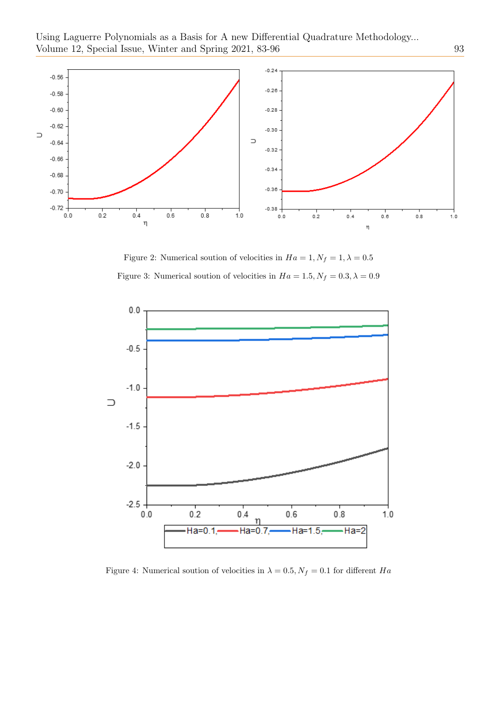

Figure 2: Numerical soution of velocities in  $Ha = 1, N_f = 1, \lambda = 0.5$ Figure 3: Numerical soution of velocities in  $Ha = 1.5, N_f = 0.3, \lambda = 0.9$ 



Figure 4: Numerical soution of velocities in  $\lambda = 0.5, N_f = 0.1$  for different  $Ha$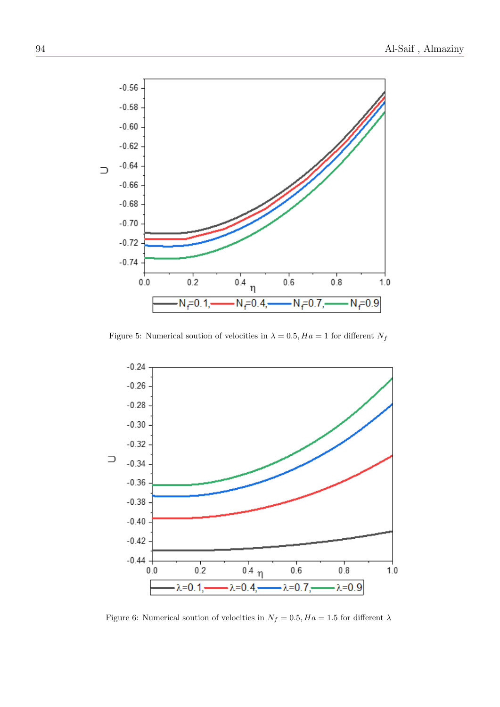

Figure 5: Numerical soution of velocities in  $\lambda = 0.5, Ha = 1$  for different  $N_f$ 



Figure 6: Numerical soution of velocities in  $N_f=0.5, Ha=1.5$  for different  $\lambda$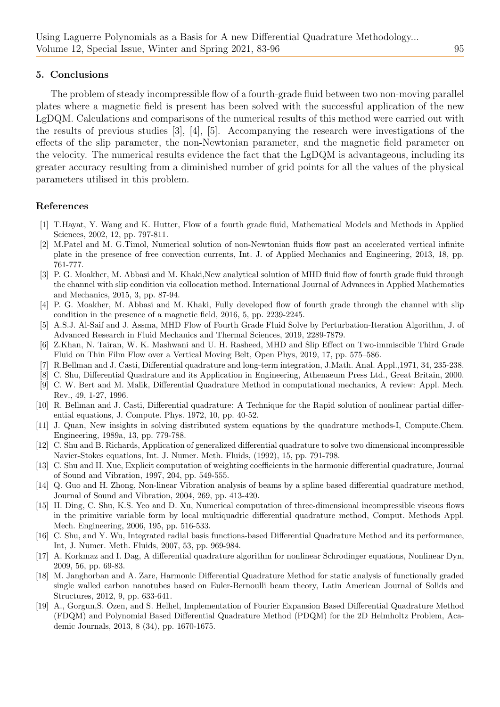## 5. Conclusions

The problem of steady incompressible flow of a fourth-grade fluid between two non-moving parallel plates where a magnetic field is present has been solved with the successful application of the new LgDQM. Calculations and comparisons of the numerical results of this method were carried out with the results of previous studies [3], [4], [5]. Accompanying the research were investigations of the effects of the slip parameter, the non-Newtonian parameter, and the magnetic field parameter on the velocity. The numerical results evidence the fact that the LgDQM is advantageous, including its greater accuracy resulting from a diminished number of grid points for all the values of the physical parameters utilised in this problem.

## References

- [1] T.Hayat, Y. Wang and K. Hutter, Flow of a fourth grade fluid, Mathematical Models and Methods in Applied Sciences, 2002, 12, pp. 797-811.
- [2] M.Patel and M. G.Timol, Numerical solution of non-Newtonian fluids flow past an accelerated vertical infinite plate in the presence of free convection currents, Int. J. of Applied Mechanics and Engineering, 2013, 18, pp. 761-777.
- [3] P. G. Moakher, M. Abbasi and M. Khaki,New analytical solution of MHD fluid flow of fourth grade fluid through the channel with slip condition via collocation method. International Journal of Advances in Applied Mathematics and Mechanics, 2015, 3, pp. 87-94.
- [4] P. G. Moakher, M. Abbasi and M. Khaki, Fully developed flow of fourth grade through the channel with slip condition in the presence of a magnetic field, 2016, 5, pp. 2239-2245.
- [5] A.S.J. Al-Saif and J. Assma, MHD Flow of Fourth Grade Fluid Solve by Perturbation-Iteration Algorithm, J. of Advanced Research in Fluid Mechanics and Thermal Sciences, 2019, 2289-7879.
- [6] Z.Khan, N. Tairan, W. K. Mashwani and U. H. Rasheed, MHD and Slip Effect on Two-immiscible Third Grade Fluid on Thin Film Flow over a Vertical Moving Belt, Open Phys, 2019, 17, pp. 575–586.
- [7] R.Bellman and J. Casti, Differential quadrature and long-term integration, J.Math. Anal. Appl.,1971, 34, 235-238.
- [8] C. Shu, Differential Quadrature and its Application in Engineering, Athenaeum Press Ltd., Great Britain, 2000.
- [9] C. W. Bert and M. Malik, Differential Quadrature Method in computational mechanics, A review: Appl. Mech. Rev., 49, 1-27, 1996.
- [10] R. Bellman and J. Casti, Differential quadrature: A Technique for the Rapid solution of nonlinear partial differential equations, J. Compute. Phys. 1972, 10, pp. 40-52.
- [11] J. Quan, New insights in solving distributed system equations by the quadrature methods-I, Compute.Chem. Engineering, 1989a, 13, pp. 779-788.
- [12] C. Shu and B. Richards, Application of generalized differential quadrature to solve two dimensional incompressible Navier-Stokes equations, Int. J. Numer. Meth. Fluids, (1992), 15, pp. 791-798.
- [13] C. Shu and H. Xue, Explicit computation of weighting coefficients in the harmonic differential quadrature, Journal of Sound and Vibration, 1997, 204, pp. 549-555.
- [14] Q. Guo and H. Zhong, Non-linear Vibration analysis of beams by a spline based differential quadrature method, Journal of Sound and Vibration, 2004, 269, pp. 413-420.
- [15] H. Ding, C. Shu, K.S. Yeo and D. Xu, Numerical computation of three-dimensional incompressible viscous flows in the primitive variable form by local multiquadric differential quadrature method, Comput. Methods Appl. Mech. Engineering, 2006, 195, pp. 516-533.
- [16] C. Shu, and Y. Wu, Integrated radial basis functions-based Differential Quadrature Method and its performance, Int, J. Numer. Meth. Fluids, 2007, 53, pp. 969-984.
- [17] A. Korkmaz and I. Dag, A differential quadrature algorithm for nonlinear Schrodinger equations, Nonlinear Dyn, 2009, 56, pp. 69-83.
- [18] M. Janghorban and A. Zare, Harmonic Differential Quadrature Method for static analysis of functionally graded single walled carbon nanotubes based on Euler-Bernoulli beam theory, Latin American Journal of Solids and Structures, 2012, 9, pp. 633-641.
- [19] A., Gorgun,S. Ozen, and S. Helhel, Implementation of Fourier Expansion Based Differential Quadrature Method (FDQM) and Polynomial Based Differential Quadrature Method (PDQM) for the 2D Helmholtz Problem, Academic Journals, 2013, 8 (34), pp. 1670-1675.